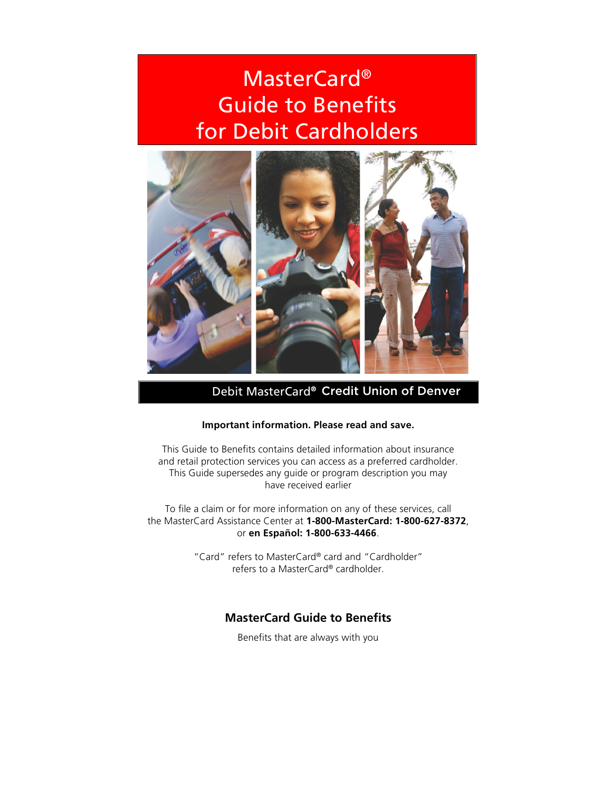# MasterCard<sup>®</sup> Guide to Benefits for Debit Cardholders



Debit MasterCard® Credit Union of Denver

# **Important information. Please read and save.**

This Guide to Benefits contains detailed information about insurance and retail protection services you can access as a preferred cardholder. This Guide supersedes any guide or program description you may have received earlier

To file a claim or for more information on any of these services, call the MasterCard Assistance Center at **1-800-MasterCard: 1-800-627-8372**, or **en Español: 1-800-633-4466**.

> "Card" refers to MasterCard® card and "Cardholder" refers to a MasterCard® cardholder.

# **MasterCard Guide to Benefits**

Benefits that are always with you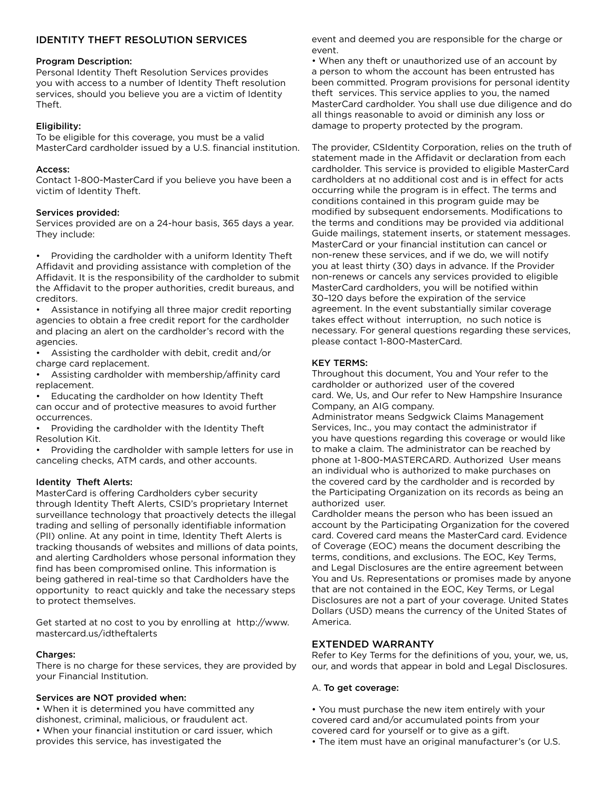# IDENTITY THEFT RESOLUTION SERVICES

#### Program Description:

Personal Identity Theft Resolution Services provides you with access to a number of Identity Theft resolution services, should you believe you are a victim of Identity Theft.

## Eligibility:

To be eligible for this coverage, you must be a valid MasterCard cardholder issued by a U.S. financial institution.

## Access:

Contact 1-800-MasterCard if you believe you have been a victim of Identity Theft.

## Services provided:

Services provided are on a 24-hour basis, 365 days a year. They include:

• Providing the cardholder with a uniform Identity Theft Affidavit and providing assistance with completion of the Affidavit. It is the responsibility of the cardholder to submit the Affidavit to the proper authorities, credit bureaus, and creditors.

Assistance in notifying all three major credit reporting agencies to obtain a free credit report for the cardholder and placing an alert on the cardholder's record with the agencies.

• Assisting the cardholder with debit, credit and/or charge card replacement.

• Assisting cardholder with membership/affinity card replacement.

Educating the cardholder on how Identity Theft can occur and of protective measures to avoid further occurrences.

Providing the cardholder with the Identity Theft Resolution Kit.

• Providing the cardholder with sample letters for use in canceling checks, ATM cards, and other accounts.

## Identity Theft Alerts:

MasterCard is offering Cardholders cyber security through Identity Theft Alerts, CSID's proprietary Internet surveillance technology that proactively detects the illegal trading and selling of personally identifiable information (PII) online. At any point in time, Identity Theft Alerts is tracking thousands of websites and millions of data points, and alerting Cardholders whose personal information they find has been compromised online. This information is being gathered in real-time so that Cardholders have the opportunity to react quickly and take the necessary steps to protect themselves.

Get started at no cost to you by enrolling at http://www. mastercard.us/idtheftalerts

## Charges:

There is no charge for these services, they are provided by your Financial Institution.

## Services are NOT provided when:

• When it is determined you have committed any dishonest, criminal, malicious, or fraudulent act. • When your financial institution or card issuer, which provides this service, has investigated the

event and deemed you are responsible for the charge or event.

• When any theft or unauthorized use of an account by a person to whom the account has been entrusted has been committed. Program provisions for personal identity theft services. This service applies to you, the named MasterCard cardholder. You shall use due diligence and do all things reasonable to avoid or diminish any loss or damage to property protected by the program.

The provider, CSIdentity Corporation, relies on the truth of statement made in the Affidavit or declaration from each cardholder. This service is provided to eligible MasterCard cardholders at no additional cost and is in effect for acts occurring while the program is in effect. The terms and conditions contained in this program guide may be modified by subsequent endorsements. Modifications to the terms and conditions may be provided via additional Guide mailings, statement inserts, or statement messages. MasterCard or your financial institution can cancel or non-renew these services, and if we do, we will notify you at least thirty (30) days in advance. If the Provider non-renews or cancels any services provided to eligible MasterCard cardholders, you will be notified within 30–120 days before the expiration of the service agreement. In the event substantially similar coverage takes effect without interruption, no such notice is necessary. For general questions regarding these services, please contact 1-800-MasterCard.

## KEY TERMS:

Throughout this document, You and Your refer to the cardholder or authorized user of the covered card. We, Us, and Our refer to New Hampshire Insurance Company, an AIG company.

Administrator means Sedgwick Claims Management Services, Inc., you may contact the administrator if you have questions regarding this coverage or would like to make a claim. The administrator can be reached by phone at 1-800-MASTERCARD. Authorized User means an individual who is authorized to make purchases on the covered card by the cardholder and is recorded by the Participating Organization on its records as being an authorized user.

Cardholder means the person who has been issued an account by the Participating Organization for the covered card. Covered card means the MasterCard card. Evidence of Coverage (EOC) means the document describing the terms, conditions, and exclusions. The EOC, Key Terms, and Legal Disclosures are the entire agreement between You and Us. Representations or promises made by anyone that are not contained in the EOC, Key Terms, or Legal Disclosures are not a part of your coverage. United States Dollars (USD) means the currency of the United States of America.

## EXTENDED WARRANTY

Refer to Key Terms for the definitions of you, your, we, us, our, and words that appear in bold and Legal Disclosures.

## A. To get coverage:

- You must purchase the new item entirely with your covered card and/or accumulated points from your covered card for yourself or to give as a gift.
- The item must have an original manufacturer's (or U.S.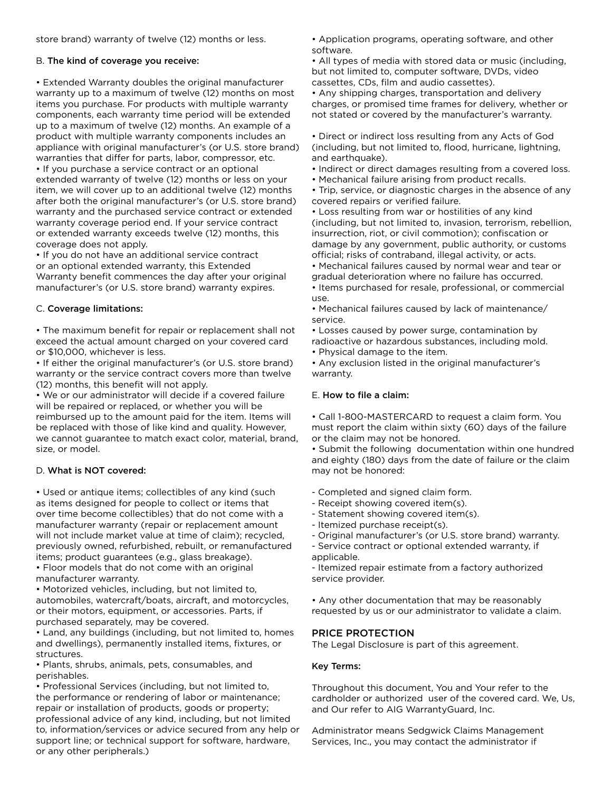store brand) warranty of twelve (12) months or less.

### B. The kind of coverage you receive:

• Extended Warranty doubles the original manufacturer warranty up to a maximum of twelve (12) months on most items you purchase. For products with multiple warranty components, each warranty time period will be extended up to a maximum of twelve (12) months. An example of a product with multiple warranty components includes an appliance with original manufacturer's (or U.S. store brand) warranties that differ for parts, labor, compressor, etc. • If you purchase a service contract or an optional extended warranty of twelve (12) months or less on your item, we will cover up to an additional twelve (12) months after both the original manufacturer's (or U.S. store brand) warranty and the purchased service contract or extended warranty coverage period end. If your service contract or extended warranty exceeds twelve (12) months, this coverage does not apply.

• If you do not have an additional service contract or an optional extended warranty, this Extended Warranty benefit commences the day after your original manufacturer's (or U.S. store brand) warranty expires.

### C. Coverage limitations:

• The maximum benefit for repair or replacement shall not exceed the actual amount charged on your covered card or \$10,000, whichever is less.

• If either the original manufacturer's (or U.S. store brand) warranty or the service contract covers more than twelve (12) months, this benefit will not apply.

• We or our administrator will decide if a covered failure will be repaired or replaced, or whether you will be reimbursed up to the amount paid for the item. Items will be replaced with those of like kind and quality. However, we cannot guarantee to match exact color, material, brand, size, or model.

## D. What is NOT covered:

• Used or antique items; collectibles of any kind (such as items designed for people to collect or items that over time become collectibles) that do not come with a manufacturer warranty (repair or replacement amount will not include market value at time of claim); recycled, previously owned, refurbished, rebuilt, or remanufactured items; product guarantees (e.g., glass breakage).

• Floor models that do not come with an original manufacturer warranty.

• Motorized vehicles, including, but not limited to, automobiles, watercraft/boats, aircraft, and motorcycles, or their motors, equipment, or accessories. Parts, if purchased separately, may be covered.

• Land, any buildings (including, but not limited to, homes and dwellings), permanently installed items, fixtures, or structures.

• Plants, shrubs, animals, pets, consumables, and perishables.

• Professional Services (including, but not limited to, the performance or rendering of labor or maintenance; repair or installation of products, goods or property; professional advice of any kind, including, but not limited to, information/services or advice secured from any help or support line; or technical support for software, hardware, or any other peripherals.)

• Application programs, operating software, and other software.

• All types of media with stored data or music (including, but not limited to, computer software, DVDs, video cassettes, CDs, film and audio cassettes).

• Any shipping charges, transportation and delivery charges, or promised time frames for delivery, whether or not stated or covered by the manufacturer's warranty.

• Direct or indirect loss resulting from any Acts of God (including, but not limited to, flood, hurricane, lightning, and earthquake).

• Indirect or direct damages resulting from a covered loss.

- Mechanical failure arising from product recalls.
- Trip, service, or diagnostic charges in the absence of any covered repairs or verified failure.

• Loss resulting from war or hostilities of any kind (including, but not limited to, invasion, terrorism, rebellion, insurrection, riot, or civil commotion); confiscation or damage by any government, public authority, or customs official; risks of contraband, illegal activity, or acts.

• Mechanical failures caused by normal wear and tear or gradual deterioration where no failure has occurred.

• Items purchased for resale, professional, or commercial use.

• Mechanical failures caused by lack of maintenance/ service.

• Losses caused by power surge, contamination by radioactive or hazardous substances, including mold.

• Physical damage to the item.

• Any exclusion listed in the original manufacturer's warranty.

### E. How to file a claim:

• Call 1-800-MASTERCARD to request a claim form. You must report the claim within sixty (60) days of the failure or the claim may not be honored.

• Submit the following documentation within one hundred and eighty (180) days from the date of failure or the claim may not be honored:

- Completed and signed claim form.
- Receipt showing covered item(s).
- Statement showing covered item(s).
- Itemized purchase receipt(s).
- Original manufacturer's (or U.S. store brand) warranty.
- Service contract or optional extended warranty, if applicable.

- Itemized repair estimate from a factory authorized service provider.

• Any other documentation that may be reasonably requested by us or our administrator to validate a claim.

## PRICE PROTECTION

The Legal Disclosure is part of this agreement.

## Key Terms:

Throughout this document, You and Your refer to the cardholder or authorized user of the covered card. We, Us, and Our refer to AIG WarrantyGuard, Inc.

Administrator means Sedgwick Claims Management Services, Inc., you may contact the administrator if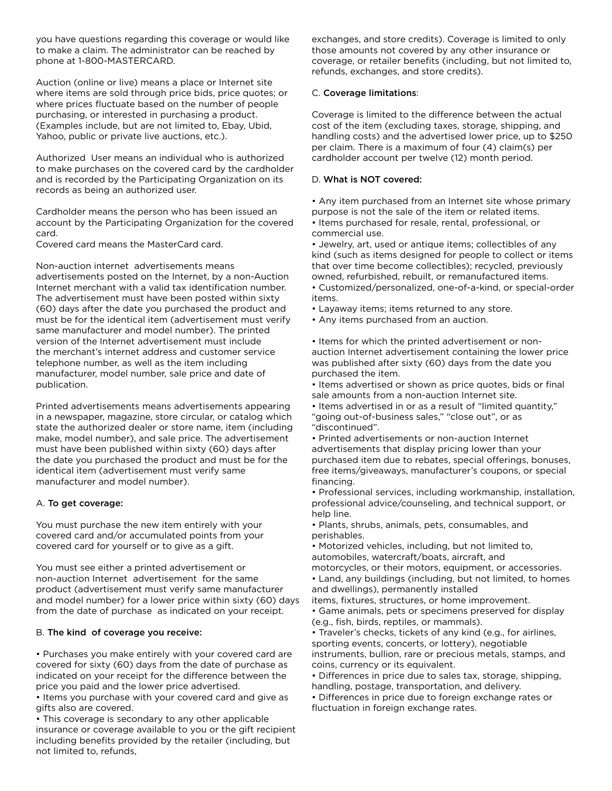you have questions regarding this coverage or would like to make a claim. The administrator can be reached by phone at 1-800-MASTERCARD.

Auction (online or live) means a place or Internet site where items are sold through price bids, price quotes; or where prices fluctuate based on the number of people purchasing, or interested in purchasing a product. (Examples include, but are not limited to, Ebay, Ubid, Yahoo, public or private live auctions, etc.).

Authorized User means an individual who is authorized to make purchases on the covered card by the cardholder and is recorded by the Participating Organization on its records as being an authorized user.

Cardholder means the person who has been issued an account by the Participating Organization for the covered card.

Covered card means the MasterCard card.

Non-auction internet advertisements means advertisements posted on the Internet, by a non-Auction Internet merchant with a valid tax identification number. The advertisement must have been posted within sixty (60) days after the date you purchased the product and must be for the identical item (advertisement must verify same manufacturer and model number). The printed version of the Internet advertisement must include the merchant's internet address and customer service telephone number, as well as the item including manufacturer, model number, sale price and date of publication.

Printed advertisements means advertisements appearing in a newspaper, magazine, store circular, or catalog which state the authorized dealer or store name, item (including make, model number), and sale price. The advertisement must have been published within sixty (60) days after the date you purchased the product and must be for the identical item (advertisement must verify same manufacturer and model number).

## A. To get coverage:

You must purchase the new item entirely with your covered card and/or accumulated points from your covered card for yourself or to give as a gift.

You must see either a printed advertisement or non-auction Internet advertisement for the same product (advertisement must verify same manufacturer and model number) for a lower price within sixty (60) days from the date of purchase as indicated on your receipt.

#### B. The kind of coverage you receive:

• Purchases you make entirely with your covered card are covered for sixty (60) days from the date of purchase as indicated on your receipt for the difference between the price you paid and the lower price advertised.

• Items you purchase with your covered card and give as gifts also are covered.

• This coverage is secondary to any other applicable insurance or coverage available to you or the gift recipient including benefits provided by the retailer (including, but not limited to, refunds,

exchanges, and store credits). Coverage is limited to only those amounts not covered by any other insurance or coverage, or retailer benefits (including, but not limited to, refunds, exchanges, and store credits).

#### C. Coverage limitations:

Coverage is limited to the difference between the actual cost of the item (excluding taxes, storage, shipping, and handling costs) and the advertised lower price, up to \$250 per claim. There is a maximum of four (4) claim(s) per cardholder account per twelve (12) month period.

#### D. What is NOT covered:

• Any item purchased from an Internet site whose primary purpose is not the sale of the item or related items.

• Items purchased for resale, rental, professional, or commercial use.

• Jewelry, art, used or antique items; collectibles of any kind (such as items designed for people to collect or items that over time become collectibles); recycled, previously owned, refurbished, rebuilt, or remanufactured items. • Customized/personalized, one-of-a-kind, or special-order items.

• Layaway items; items returned to any store.

• Any items purchased from an auction.

• Items for which the printed advertisement or nonauction Internet advertisement containing the lower price was published after sixty (60) days from the date you purchased the item.

• Items advertised or shown as price quotes, bids or final sale amounts from a non-auction Internet site.

• Items advertised in or as a result of "limited quantity," "going out-of-business sales," "close out", or as "discontinued".

• Printed advertisements or non-auction Internet advertisements that display pricing lower than your purchased item due to rebates, special offerings, bonuses, free items/giveaways, manufacturer's coupons, or special financing.

• Professional services, including workmanship, installation, professional advice/counseling, and technical support, or help line.

• Plants, shrubs, animals, pets, consumables, and perishables.

• Motorized vehicles, including, but not limited to, automobiles, watercraft/boats, aircraft, and

motorcycles, or their motors, equipment, or accessories. • Land, any buildings (including, but not limited, to homes and dwellings), permanently installed

items, fixtures, structures, or home improvement.

• Game animals, pets or specimens preserved for display (e.g., fish, birds, reptiles, or mammals).

• Traveler's checks, tickets of any kind (e.g., for airlines, sporting events, concerts, or lottery), negotiable instruments, bullion, rare or precious metals, stamps, and coins, currency or its equivalent.

• Differences in price due to sales tax, storage, shipping, handling, postage, transportation, and delivery.

• Differences in price due to foreign exchange rates or fluctuation in foreign exchange rates.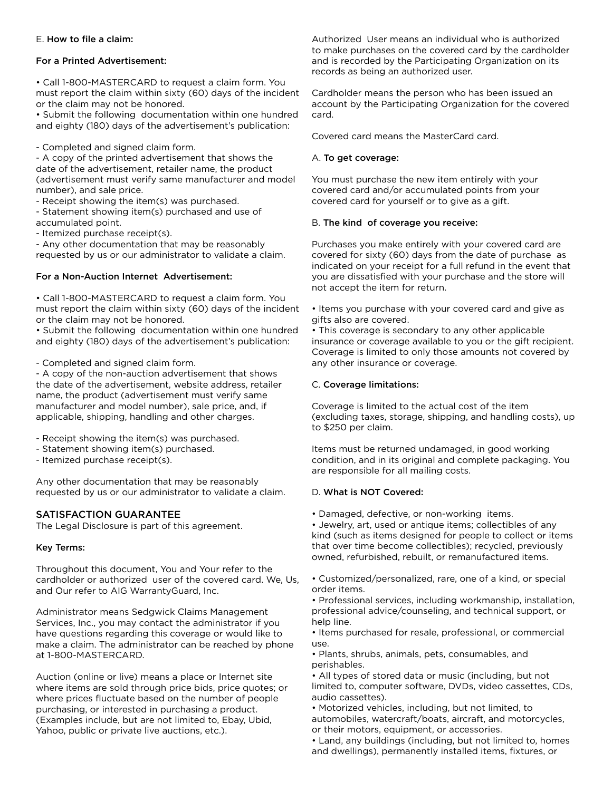### E. How to file a claim:

#### For a Printed Advertisement:

• Call 1-800-MASTERCARD to request a claim form. You must report the claim within sixty (60) days of the incident or the claim may not be honored.

• Submit the following documentation within one hundred and eighty (180) days of the advertisement's publication:

- Completed and signed claim form.

- A copy of the printed advertisement that shows the date of the advertisement, retailer name, the product (advertisement must verify same manufacturer and model number), and sale price.

- Receipt showing the item(s) was purchased.

- Statement showing item(s) purchased and use of accumulated point.

- Itemized purchase receipt(s).

- Any other documentation that may be reasonably requested by us or our administrator to validate a claim.

#### For a Non-Auction Internet Advertisement:

• Call 1-800-MASTERCARD to request a claim form. You must report the claim within sixty (60) days of the incident or the claim may not be honored.

• Submit the following documentation within one hundred and eighty (180) days of the advertisement's publication:

- Completed and signed claim form.

- A copy of the non-auction advertisement that shows the date of the advertisement, website address, retailer name, the product (advertisement must verify same manufacturer and model number), sale price, and, if applicable, shipping, handling and other charges.

- Receipt showing the item(s) was purchased.
- Statement showing item(s) purchased.
- Itemized purchase receipt(s).

Any other documentation that may be reasonably requested by us or our administrator to validate a claim.

## SATISFACTION GUARANTEE

The Legal Disclosure is part of this agreement.

#### Key Terms:

Throughout this document, You and Your refer to the cardholder or authorized user of the covered card. We, Us, and Our refer to AIG WarrantyGuard, Inc.

Administrator means Sedgwick Claims Management Services, Inc., you may contact the administrator if you have questions regarding this coverage or would like to make a claim. The administrator can be reached by phone at 1-800-MASTERCARD.

Auction (online or live) means a place or Internet site where items are sold through price bids, price quotes; or where prices fluctuate based on the number of people purchasing, or interested in purchasing a product. (Examples include, but are not limited to, Ebay, Ubid, Yahoo, public or private live auctions, etc.).

Authorized User means an individual who is authorized to make purchases on the covered card by the cardholder and is recorded by the Participating Organization on its records as being an authorized user.

Cardholder means the person who has been issued an account by the Participating Organization for the covered card.

Covered card means the MasterCard card.

#### A. To get coverage:

You must purchase the new item entirely with your covered card and/or accumulated points from your covered card for yourself or to give as a gift.

#### B. The kind of coverage you receive:

Purchases you make entirely with your covered card are covered for sixty (60) days from the date of purchase as indicated on your receipt for a full refund in the event that you are dissatisfied with your purchase and the store will not accept the item for return.

• Items you purchase with your covered card and give as gifts also are covered.

• This coverage is secondary to any other applicable insurance or coverage available to you or the gift recipient. Coverage is limited to only those amounts not covered by any other insurance or coverage.

### C. Coverage limitations:

Coverage is limited to the actual cost of the item (excluding taxes, storage, shipping, and handling costs), up to \$250 per claim.

Items must be returned undamaged, in good working condition, and in its original and complete packaging. You are responsible for all mailing costs.

#### D. What is NOT Covered:

• Damaged, defective, or non-working items.

• Jewelry, art, used or antique items; collectibles of any kind (such as items designed for people to collect or items that over time become collectibles); recycled, previously owned, refurbished, rebuilt, or remanufactured items.

• Customized/personalized, rare, one of a kind, or special order items.

• Professional services, including workmanship, installation, professional advice/counseling, and technical support, or help line.

• Items purchased for resale, professional, or commercial use.

• Plants, shrubs, animals, pets, consumables, and perishables.

• All types of stored data or music (including, but not limited to, computer software, DVDs, video cassettes, CDs, audio cassettes).

• Motorized vehicles, including, but not limited, to automobiles, watercraft/boats, aircraft, and motorcycles, or their motors, equipment, or accessories.

• Land, any buildings (including, but not limited to, homes and dwellings), permanently installed items, fixtures, or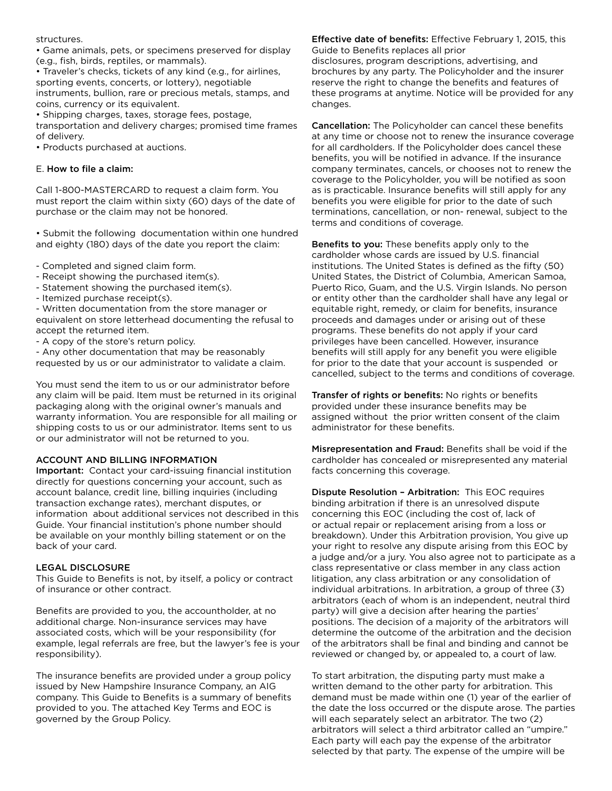#### structures.

• Game animals, pets, or specimens preserved for display (e.g., fish, birds, reptiles, or mammals).

• Traveler's checks, tickets of any kind (e.g., for airlines, sporting events, concerts, or lottery), negotiable instruments, bullion, rare or precious metals, stamps, and coins, currency or its equivalent.

• Shipping charges, taxes, storage fees, postage, transportation and delivery charges; promised time frames of delivery.

• Products purchased at auctions.

## E. How to file a claim:

Call 1-800-MASTERCARD to request a claim form. You must report the claim within sixty (60) days of the date of purchase or the claim may not be honored.

• Submit the following documentation within one hundred and eighty (180) days of the date you report the claim:

- Completed and signed claim form.
- Receipt showing the purchased item(s).
- Statement showing the purchased item(s).
- Itemized purchase receipt(s).

- Written documentation from the store manager or equivalent on store letterhead documenting the refusal to accept the returned item.

- A copy of the store's return policy.

- Any other documentation that may be reasonably requested by us or our administrator to validate a claim.

You must send the item to us or our administrator before any claim will be paid. Item must be returned in its original packaging along with the original owner's manuals and warranty information. You are responsible for all mailing or shipping costs to us or our administrator. Items sent to us or our administrator will not be returned to you.

# ACCOUNT AND BILLING INFORMATION

Important: Contact your card-issuing financial institution directly for questions concerning your account, such as account balance, credit line, billing inquiries (including transaction exchange rates), merchant disputes, or information about additional services not described in this Guide. Your financial institution's phone number should be available on your monthly billing statement or on the back of your card.

# LEGAL DISCLOSURE

This Guide to Benefits is not, by itself, a policy or contract of insurance or other contract.

Benefits are provided to you, the accountholder, at no additional charge. Non-insurance services may have associated costs, which will be your responsibility (for example, legal referrals are free, but the lawyer's fee is your responsibility).

The insurance benefits are provided under a group policy issued by New Hampshire Insurance Company, an AIG company. This Guide to Benefits is a summary of benefits provided to you. The attached Key Terms and EOC is governed by the Group Policy.

Effective date of benefits: Effective February 1, 2015, this Guide to Benefits replaces all prior

disclosures, program descriptions, advertising, and brochures by any party. The Policyholder and the insurer reserve the right to change the benefits and features of these programs at anytime. Notice will be provided for any changes.

Cancellation: The Policyholder can cancel these benefits at any time or choose not to renew the insurance coverage for all cardholders. If the Policyholder does cancel these benefits, you will be notified in advance. If the insurance company terminates, cancels, or chooses not to renew the coverage to the Policyholder, you will be notified as soon as is practicable. Insurance benefits will still apply for any benefits you were eligible for prior to the date of such terminations, cancellation, or non- renewal, subject to the terms and conditions of coverage.

Benefits to you: These benefits apply only to the cardholder whose cards are issued by U.S. financial institutions. The United States is defined as the fifty (50) United States, the District of Columbia, American Samoa, Puerto Rico, Guam, and the U.S. Virgin Islands. No person or entity other than the cardholder shall have any legal or equitable right, remedy, or claim for benefits, insurance proceeds and damages under or arising out of these programs. These benefits do not apply if your card privileges have been cancelled. However, insurance benefits will still apply for any benefit you were eligible for prior to the date that your account is suspended or cancelled, subject to the terms and conditions of coverage.

Transfer of rights or benefits: No rights or benefits provided under these insurance benefits may be assigned without the prior written consent of the claim administrator for these benefits.

Misrepresentation and Fraud: Benefits shall be void if the cardholder has concealed or misrepresented any material facts concerning this coverage.

Dispute Resolution – Arbitration: This EOC requires binding arbitration if there is an unresolved dispute concerning this EOC (including the cost of, lack of or actual repair or replacement arising from a loss or breakdown). Under this Arbitration provision, You give up your right to resolve any dispute arising from this EOC by a judge and/or a jury. You also agree not to participate as a class representative or class member in any class action litigation, any class arbitration or any consolidation of individual arbitrations. In arbitration, a group of three (3) arbitrators (each of whom is an independent, neutral third party) will give a decision after hearing the parties' positions. The decision of a majority of the arbitrators will determine the outcome of the arbitration and the decision of the arbitrators shall be final and binding and cannot be reviewed or changed by, or appealed to, a court of law.

To start arbitration, the disputing party must make a written demand to the other party for arbitration. This demand must be made within one (1) year of the earlier of the date the loss occurred or the dispute arose. The parties will each separately select an arbitrator. The two (2) arbitrators will select a third arbitrator called an "umpire." Each party will each pay the expense of the arbitrator selected by that party. The expense of the umpire will be